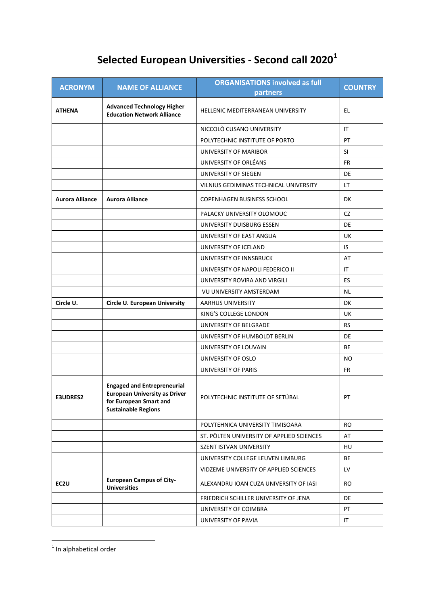## **Selected European Universities - Second call 2020<sup>1</sup>**

| <b>ACRONYM</b>         | <b>NAME OF ALLIANCE</b>                                                                                                            | <b>ORGANISATIONS involved as full</b><br>partners | <b>COUNTRY</b> |
|------------------------|------------------------------------------------------------------------------------------------------------------------------------|---------------------------------------------------|----------------|
| <b>ATHENA</b>          | <b>Advanced Technology Higher</b><br><b>Education Network Alliance</b>                                                             | HELLENIC MEDITERRANEAN UNIVERSITY                 | EL             |
|                        |                                                                                                                                    | NICCOLO CUSANO UNIVERSITY                         | IT             |
|                        |                                                                                                                                    | POLYTECHNIC INSTITUTE OF PORTO                    | PT             |
|                        |                                                                                                                                    | <b>UNIVERSITY OF MARIBOR</b>                      | SI             |
|                        |                                                                                                                                    | UNIVERSITY OF ORLÉANS                             | FR.            |
|                        |                                                                                                                                    | UNIVERSITY OF SIEGEN                              | DE             |
|                        |                                                                                                                                    | VILNIUS GEDIMINAS TECHNICAL UNIVERSITY            | LT.            |
| <b>Aurora Alliance</b> | <b>Aurora Alliance</b>                                                                                                             | <b>COPENHAGEN BUSINESS SCHOOL</b>                 | DK             |
|                        |                                                                                                                                    | PALACKY UNIVERSITY OLOMOUC                        | CZ             |
|                        |                                                                                                                                    | UNIVERSITY DUISBURG ESSEN                         | DE             |
|                        |                                                                                                                                    | UNIVERSITY OF EAST ANGLIA                         | UK             |
|                        |                                                                                                                                    | UNIVERSITY OF ICELAND                             | IS             |
|                        |                                                                                                                                    | UNIVERSITY OF INNSBRUCK                           | AT             |
|                        |                                                                                                                                    | UNIVERSITY OF NAPOLI FEDERICO II                  | IT             |
|                        |                                                                                                                                    | UNIVERSITY ROVIRA AND VIRGILI                     | <b>ES</b>      |
|                        |                                                                                                                                    | VU UNIVERSITY AMSTERDAM                           | <b>NL</b>      |
| Circle U.              | <b>Circle U. European University</b>                                                                                               | AARHUS UNIVERSITY                                 | DK             |
|                        |                                                                                                                                    | KING'S COLLEGE LONDON                             | UK             |
|                        |                                                                                                                                    | UNIVERSITY OF BELGRADE                            | <b>RS</b>      |
|                        |                                                                                                                                    | UNIVERSITY OF HUMBOLDT BERLIN                     | DE             |
|                        |                                                                                                                                    | UNIVERSITY OF LOUVAIN                             | BE             |
|                        |                                                                                                                                    | UNIVERSITY OF OSLO                                | NO.            |
|                        |                                                                                                                                    | UNIVERSITY OF PARIS                               | FR             |
| E3UDRES2               | <b>Engaged and Entrepreneurial</b><br><b>European University as Driver</b><br>for European Smart and<br><b>Sustainable Regions</b> | POLYTECHNIC INSTITUTE OF SETÚBAL                  | PT             |
|                        |                                                                                                                                    | POLYTEHNICA UNIVERSITY TIMISOARA                  | <b>RO</b>      |
|                        |                                                                                                                                    | ST. PÖLTEN UNIVERSITY OF APPLIED SCIENCES         | AT             |
|                        |                                                                                                                                    | SZENT ISTVAN UNIVERSITY                           | HU.            |
|                        |                                                                                                                                    | UNIVERSITY COLLEGE LEUVEN LIMBURG                 | BE             |
|                        |                                                                                                                                    | VIDZEME UNIVERSITY OF APPLIED SCIENCES            | LV.            |
| EC2U                   | <b>European Campus of City-</b><br><b>Universities</b>                                                                             | ALEXANDRU IOAN CUZA UNIVERSITY OF IASI            | RO.            |
|                        |                                                                                                                                    | FRIEDRICH SCHILLER UNIVERSITY OF JENA             | DE             |
|                        |                                                                                                                                    | UNIVERSITY OF COIMBRA                             | PT             |
|                        |                                                                                                                                    | UNIVERSITY OF PAVIA                               | IT.            |

 1 In alphabetical order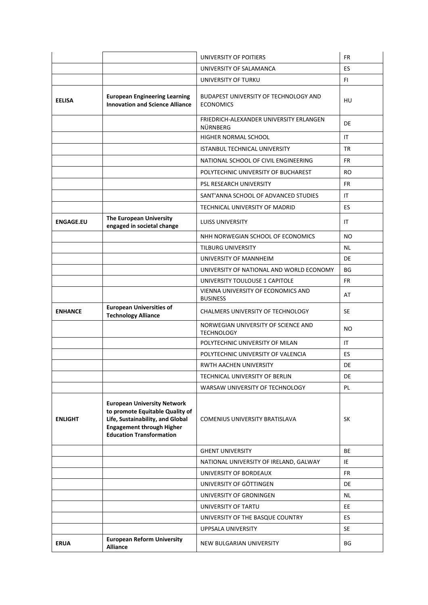|                  |                                                                                                                                                                                  | UNIVERSITY OF POITIERS                                    | <b>FR</b> |
|------------------|----------------------------------------------------------------------------------------------------------------------------------------------------------------------------------|-----------------------------------------------------------|-----------|
|                  |                                                                                                                                                                                  | UNIVERSITY OF SALAMANCA                                   | ES.       |
|                  |                                                                                                                                                                                  | UNIVERSITY OF TURKU                                       | FL.       |
| <b>EELISA</b>    | <b>European Engineering Learning</b><br><b>Innovation and Science Alliance</b>                                                                                                   | BUDAPEST UNIVERSITY OF TECHNOLOGY AND<br><b>ECONOMICS</b> | HU        |
|                  |                                                                                                                                                                                  | FRIEDRICH-ALEXANDER UNIVERSITY ERLANGEN<br>NÜRNBERG       | DE        |
|                  |                                                                                                                                                                                  | HIGHER NORMAL SCHOOL                                      | IT.       |
|                  |                                                                                                                                                                                  | <b>ISTANBUL TECHNICAL UNIVERSITY</b>                      | <b>TR</b> |
|                  |                                                                                                                                                                                  | NATIONAL SCHOOL OF CIVIL ENGINEERING                      | FR.       |
|                  |                                                                                                                                                                                  | POLYTECHNIC UNIVERSITY OF BUCHAREST                       | RO.       |
|                  |                                                                                                                                                                                  | PSL RESEARCH UNIVERSITY                                   | FR        |
|                  |                                                                                                                                                                                  | SANT'ANNA SCHOOL OF ADVANCED STUDIES                      | IT        |
|                  |                                                                                                                                                                                  | TECHNICAL UNIVERSITY OF MADRID                            | ES        |
| <b>ENGAGE.EU</b> | The European University<br>engaged in societal change                                                                                                                            | <b>LUISS UNIVERSITY</b>                                   | IT.       |
|                  |                                                                                                                                                                                  | NHH NORWEGIAN SCHOOL OF ECONOMICS                         | NO.       |
|                  |                                                                                                                                                                                  | TILBURG UNIVERSITY                                        | NL        |
|                  |                                                                                                                                                                                  | UNIVERSITY OF MANNHEIM                                    | DE        |
|                  |                                                                                                                                                                                  | UNIVERSITY OF NATIONAL AND WORLD ECONOMY                  | BG        |
|                  |                                                                                                                                                                                  | UNIVERSITY TOULOUSE 1 CAPITOLE                            | FR        |
|                  |                                                                                                                                                                                  | VIENNA UNIVERSITY OF ECONOMICS AND<br><b>BUSINESS</b>     | AT        |
| <b>ENHANCE</b>   | <b>European Universities of</b><br><b>Technology Alliance</b>                                                                                                                    | CHALMERS UNIVERSITY OF TECHNOLOGY                         | <b>SE</b> |
|                  |                                                                                                                                                                                  | NORWEGIAN UNIVERSITY OF SCIENCE AND<br><b>TECHNOLOGY</b>  | NO.       |
|                  |                                                                                                                                                                                  | POLYTECHNIC UNIVERSITY OF MILAN                           | IT        |
|                  |                                                                                                                                                                                  | POLYTECHNIC UNIVERSITY OF VALENCIA                        | ES        |
|                  |                                                                                                                                                                                  | RWTH AACHEN UNIVERSITY                                    | DE        |
|                  |                                                                                                                                                                                  | TECHNICAL UNIVERSITY OF BERLIN                            | DE        |
|                  |                                                                                                                                                                                  | WARSAW UNIVERSITY OF TECHNOLOGY                           | PL        |
| <b>ENLIGHT</b>   | <b>European University Network</b><br>to promote Equitable Quality of<br>Life, Sustainability, and Global<br><b>Engagement through Higher</b><br><b>Education Transformation</b> | <b>COMENIUS UNIVERSITY BRATISLAVA</b>                     | <b>SK</b> |
|                  |                                                                                                                                                                                  | <b>GHENT UNIVERSITY</b>                                   | <b>BE</b> |
|                  |                                                                                                                                                                                  | NATIONAL UNIVERSITY OF IRELAND, GALWAY                    | IE        |
|                  |                                                                                                                                                                                  | UNIVERSITY OF BORDEAUX                                    | FR.       |
|                  |                                                                                                                                                                                  | UNIVERSITY OF GÖTTINGEN                                   | DE        |
|                  |                                                                                                                                                                                  | UNIVERSITY OF GRONINGEN                                   | NL.       |
|                  |                                                                                                                                                                                  | UNIVERSITY OF TARTU                                       | EE        |
|                  |                                                                                                                                                                                  | UNIVERSITY OF THE BASQUE COUNTRY                          | ES.       |
|                  |                                                                                                                                                                                  | UPPSALA UNIVERSITY                                        | <b>SE</b> |
|                  |                                                                                                                                                                                  |                                                           |           |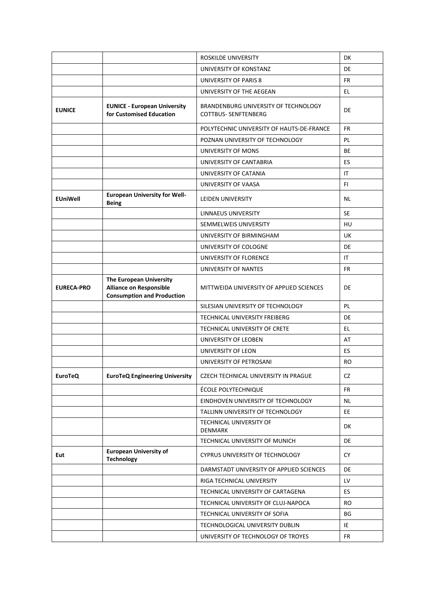|                   |                                                                                                | ROSKILDE UNIVERSITY                                                 | DK        |
|-------------------|------------------------------------------------------------------------------------------------|---------------------------------------------------------------------|-----------|
|                   |                                                                                                | UNIVERSITY OF KONSTANZ                                              | DE        |
|                   |                                                                                                | UNIVERSITY OF PARIS 8                                               | <b>FR</b> |
|                   |                                                                                                | UNIVERSITY OF THE AEGEAN                                            | EL.       |
| <b>EUNICE</b>     | <b>EUNICE - European University</b><br>for Customised Education                                | BRANDENBURG UNIVERSITY OF TECHNOLOGY<br><b>COTTBUS- SENFTENBERG</b> | DE        |
|                   |                                                                                                | POLYTECHNIC UNIVERSITY OF HAUTS-DE-FRANCE                           | FR.       |
|                   |                                                                                                | POZNAN UNIVERSITY OF TECHNOLOGY                                     | PL.       |
|                   |                                                                                                | UNIVERSITY OF MONS                                                  | <b>BE</b> |
|                   |                                                                                                | UNIVERSITY OF CANTABRIA                                             | ES.       |
|                   |                                                                                                | UNIVERSITY OF CATANIA                                               | IT.       |
|                   |                                                                                                | UNIVERSITY OF VAASA                                                 | FI.       |
| <b>EUniWell</b>   | <b>European University for Well-</b><br><b>Being</b>                                           | <b>LEIDEN UNIVERSITY</b>                                            | <b>NL</b> |
|                   |                                                                                                | LINNAEUS UNIVERSITY                                                 | <b>SE</b> |
|                   |                                                                                                | SEMMELWEIS UNIVERSITY                                               | HU        |
|                   |                                                                                                | UNIVERSITY OF BIRMINGHAM                                            | UK        |
|                   |                                                                                                | UNIVERSITY OF COLOGNE                                               | DE        |
|                   |                                                                                                | UNIVERSITY OF FLORENCE                                              | IT.       |
|                   |                                                                                                | UNIVERSITY OF NANTES                                                | FR        |
| <b>EURECA-PRO</b> | The European University<br><b>Alliance on Responsible</b><br><b>Consumption and Production</b> | MITTWEIDA UNIVERSITY OF APPLIED SCIENCES                            | DE        |
|                   |                                                                                                | SILESIAN UNIVERSITY OF TECHNOLOGY                                   | PL.       |
|                   |                                                                                                | TECHNICAL UNIVERSITY FREIBERG                                       | DE        |
|                   |                                                                                                | TECHNICAL UNIVERSITY OF CRETE                                       | EL.       |
|                   |                                                                                                | UNIVERSITY OF LEOBEN                                                | AT        |
|                   |                                                                                                | UNIVERSITY OF LEON                                                  | ES        |
|                   |                                                                                                | UNIVERSITY OF PETROSANI                                             | RO.       |
| <b>EuroTeQ</b>    | <b>EuroTeQ Engineering University</b>                                                          | CZECH TECHNICAL UNIVERSITY IN PRAGUE                                | CZ        |
|                   |                                                                                                | ÉCOLE POLYTECHNIQUE                                                 | <b>FR</b> |
|                   |                                                                                                | EINDHOVEN UNIVERSITY OF TECHNOLOGY                                  | NL.       |
|                   |                                                                                                | TALLINN UNIVERSITY OF TECHNOLOGY                                    | EE.       |
|                   |                                                                                                | TECHNICAL UNIVERSITY OF<br><b>DENMARK</b>                           | DK        |
|                   |                                                                                                | TECHNICAL UNIVERSITY OF MUNICH                                      | DE        |
| Eut               | <b>European University of</b><br><b>Technology</b>                                             | <b>CYPRUS UNIVERSITY OF TECHNOLOGY</b>                              | <b>CY</b> |
|                   |                                                                                                | DARMSTADT UNIVERSITY OF APPLIED SCIENCES                            | DE        |
|                   |                                                                                                | RIGA TECHNICAL UNIVERSITY                                           | LV        |
|                   |                                                                                                | TECHNICAL UNIVERSITY OF CARTAGENA                                   | ES.       |
|                   |                                                                                                | TECHNICAL UNIVERSITY OF CLUJ-NAPOCA                                 | <b>RO</b> |
|                   |                                                                                                | TECHNICAL UNIVERSITY OF SOFIA                                       | BG        |
|                   |                                                                                                | TECHNOLOGICAL UNIVERSITY DUBLIN                                     | IE        |
|                   |                                                                                                | UNIVERSITY OF TECHNOLOGY OF TROYES                                  | FR        |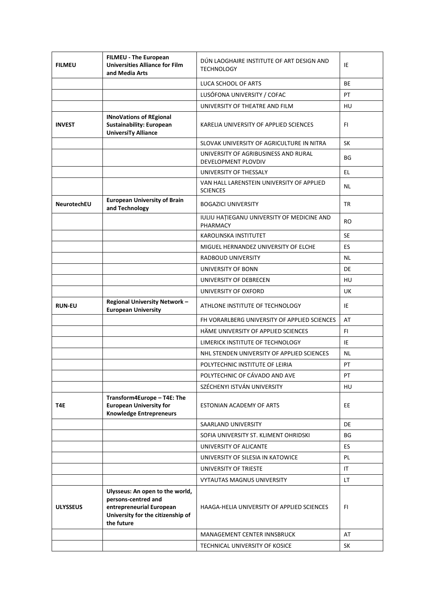| <b>FILMEU</b>   | FILMEU - The European<br><b>Universities Alliance for Film</b><br>and Media Arts                                                      | DÚN LAOGHAIRE INSTITUTE OF ART DESIGN AND<br><b>TECHNOLOGY</b> | IE        |
|-----------------|---------------------------------------------------------------------------------------------------------------------------------------|----------------------------------------------------------------|-----------|
|                 |                                                                                                                                       | LUCA SCHOOL OF ARTS                                            | <b>BE</b> |
|                 |                                                                                                                                       | LUSÓFONA UNIVERSITY / COFAC                                    | PT        |
|                 |                                                                                                                                       | UNIVERSITY OF THEATRE AND FILM                                 | HU        |
| <b>INVEST</b>   | <b>INnoVations of REgional</b><br>Sustainability: European<br><b>UniversiTy Alliance</b>                                              | KARELIA UNIVERSITY OF APPLIED SCIENCES                         | FI.       |
|                 |                                                                                                                                       | SLOVAK UNIVERSITY OF AGRICULTURE IN NITRA                      | <b>SK</b> |
|                 |                                                                                                                                       | UNIVERSITY OF AGRIBUSINESS AND RURAL<br>DEVELOPMENT PLOVDIV    | BG        |
|                 |                                                                                                                                       | UNIVERSITY OF THESSALY                                         | EL.       |
|                 |                                                                                                                                       | VAN HALL LARENSTEIN UNIVERSITY OF APPLIED<br><b>SCIENCES</b>   | NL.       |
| NeurotechEU     | <b>European University of Brain</b><br>and Technology                                                                                 | <b>BOGAZICI UNIVERSITY</b>                                     | TR        |
|                 |                                                                                                                                       | IULIU HAȚIEGANU UNIVERSITY OF MEDICINE AND<br>PHARMACY         | <b>RO</b> |
|                 |                                                                                                                                       | <b>KAROLINSKA INSTITUTET</b>                                   | <b>SE</b> |
|                 |                                                                                                                                       | MIGUEL HERNANDEZ UNIVERSITY OF ELCHE                           | ES        |
|                 |                                                                                                                                       | RADBOUD UNIVERSITY                                             | NL.       |
|                 |                                                                                                                                       | UNIVERSITY OF BONN                                             | <b>DE</b> |
|                 |                                                                                                                                       | UNIVERSITY OF DEBRECEN                                         | HU        |
|                 |                                                                                                                                       | UNIVERSITY OF OXFORD                                           | UK        |
| <b>RUN-EU</b>   | Regional University Network -<br><b>European University</b>                                                                           | ATHLONE INSTITUTE OF TECHNOLOGY                                | IE        |
|                 |                                                                                                                                       | FH VORARLBERG UNIVERSITY OF APPLIED SCIENCES                   | AT        |
|                 |                                                                                                                                       | HÄME UNIVERSITY OF APPLIED SCIENCES                            | FI.       |
|                 |                                                                                                                                       | LIMERICK INSTITUTE OF TECHNOLOGY                               | IE        |
|                 |                                                                                                                                       | NHL STENDEN UNIVERSITY OF APPLIED SCIENCES                     | <b>NL</b> |
|                 |                                                                                                                                       | POLYTECHNIC INSTITUTE OF LEIRIA                                | PT        |
|                 |                                                                                                                                       | POLYTECHNIC OF CÁVADO AND AVE                                  | PT        |
|                 |                                                                                                                                       | SZÉCHENYI ISTVÁN UNIVERSITY                                    | HU        |
| T4E             | Transform4Europe - T4E: The<br><b>European University for</b><br><b>Knowledge Entrepreneurs</b>                                       | ESTONIAN ACADEMY OF ARTS                                       | EE        |
|                 |                                                                                                                                       | SAARLAND UNIVERSITY                                            | DE        |
|                 |                                                                                                                                       | SOFIA UNIVERSITY ST. KLIMENT OHRIDSKI                          | BG        |
|                 |                                                                                                                                       | UNIVERSITY OF ALICANTE                                         | ES        |
|                 |                                                                                                                                       | UNIVERSITY OF SILESIA IN KATOWICE                              | PL        |
|                 |                                                                                                                                       | UNIVERSITY OF TRIESTE                                          | IT        |
|                 |                                                                                                                                       | <b>VYTAUTAS MAGNUS UNIVERSITY</b>                              | LT.       |
| <b>ULYSSEUS</b> | Ulysseus: An open to the world,<br>persons-centred and<br>entrepreneurial European<br>University for the citizenship of<br>the future | HAAGA-HELIA UNIVERSITY OF APPLIED SCIENCES                     | FI.       |
|                 |                                                                                                                                       | MANAGEMENT CENTER INNSBRUCK                                    | AT        |
|                 |                                                                                                                                       | TECHNICAL UNIVERSITY OF KOSICE                                 | <b>SK</b> |